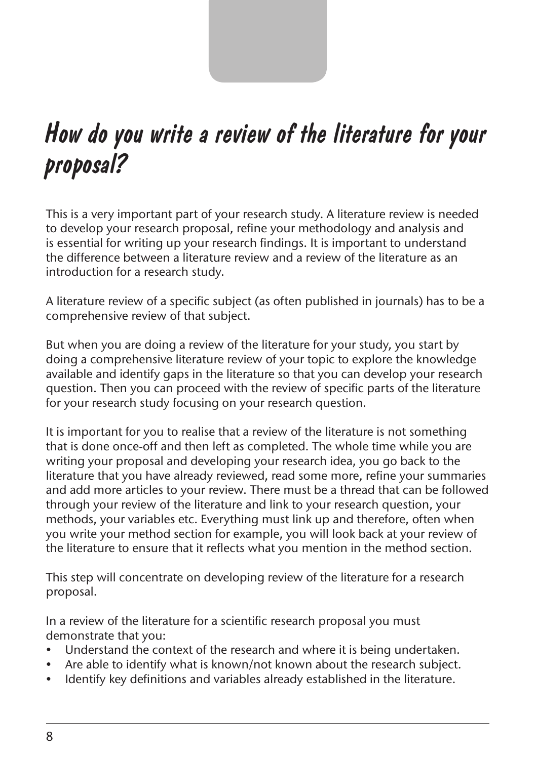

# How do you write a review of the literature for your proposal?

This is a very important part of your research study. A literature review is needed to develop your research proposal, refine your methodology and analysis and is essential for writing up your research findings. It is important to understand the difference between a literature review and a review of the literature as an introduction for a research study.

A literature review of a specific subject (as often published in journals) has to be a comprehensive review of that subject.

But when you are doing a review of the literature for your study, you start by doing a comprehensive literature review of your topic to explore the knowledge available and identify gaps in the literature so that you can develop your research question. Then you can proceed with the review of specific parts of the literature for your research study focusing on your research question.

It is important for you to realise that a review of the literature is not something that is done once-off and then left as completed. The whole time while you are writing your proposal and developing your research idea, you go back to the literature that you have already reviewed, read some more, refine your summaries and add more articles to your review. There must be a thread that can be followed through your review of the literature and link to your research question, your methods, your variables etc. Everything must link up and therefore, often when you write your method section for example, you will look back at your review of the literature to ensure that it reflects what you mention in the method section.

This step will concentrate on developing review of the literature for a research proposal.

In a review of the literature for a scientific research proposal you must demonstrate that you:

- Understand the context of the research and where it is being undertaken.
- Are able to identify what is known/not known about the research subject.
- Identify key definitions and variables already established in the literature.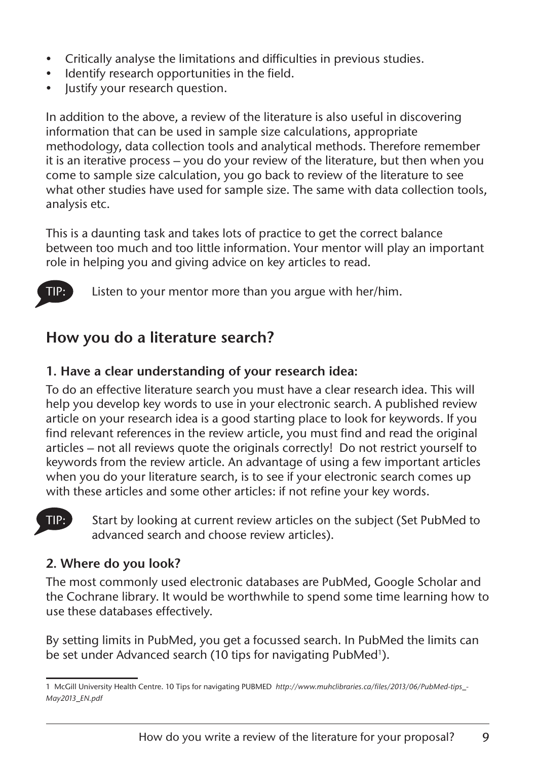- Critically analyse the limitations and difficulties in previous studies.
- Identify research opportunities in the field.
- lustify your research question.

In addition to the above, a review of the literature is also useful in discovering information that can be used in sample size calculations, appropriate methodology, data collection tools and analytical methods. Therefore remember it is an iterative process – you do your review of the literature, but then when you come to sample size calculation, you go back to review of the literature to see what other studies have used for sample size. The same with data collection tools, analysis etc.

This is a daunting task and takes lots of practice to get the correct balance between too much and too little information. Your mentor will play an important role in helping you and giving advice on key articles to read.



Listen to your mentor more than you argue with her/him.

# **How you do a literature search?**

# **1. Have a clear understanding of your research idea:**

To do an effective literature search you must have a clear research idea. This will help you develop key words to use in your electronic search. A published review article on your research idea is a good starting place to look for keywords. If you find relevant references in the review article, you must find and read the original articles – not all reviews quote the originals correctly! Do not restrict yourself to keywords from the review article. An advantage of using a few important articles when you do your literature search, is to see if your electronic search comes up with these articles and some other articles: if not refine your key words.



TIP: Start by looking at current review articles on the subject (Set PubMed to advanced search and choose review articles).

# **2. Where do you look?**

The most commonly used electronic databases are PubMed, Google Scholar and the Cochrane library. It would be worthwhile to spend some time learning how to use these databases effectively.

By setting limits in PubMed, you get a focussed search. In PubMed the limits can be set under Advanced search (10 tips for navigating PubMed<sup>1</sup>).

[<sup>1</sup> McGill University Health Centre. 10 Tips for navigating PUBMED](http://www.muhclibraries.ca/files/2013/06/PubMed-tips_May2013_EN.pdf) *http://www.muhclibraries.ca/files/2013/06/PubMed-tips\_- May2013\_EN.pdf*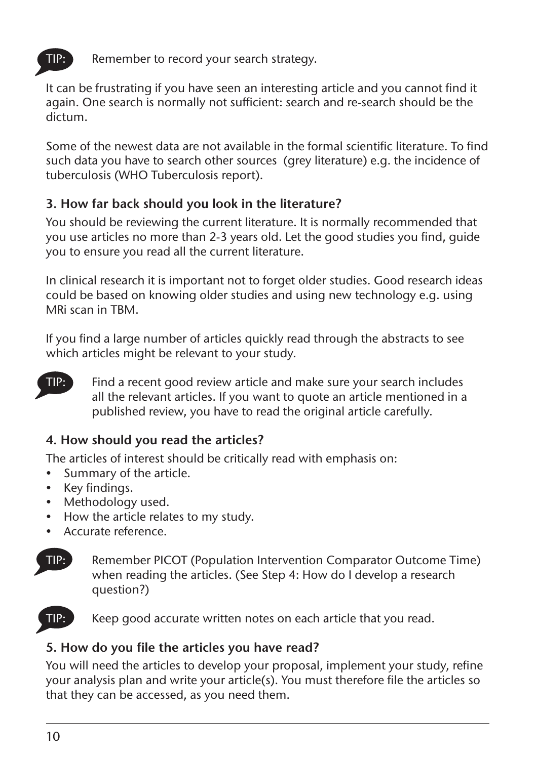

Remember to record your search strategy.

It can be frustrating if you have seen an interesting article and you cannot find it again. One search is normally not sufficient: search and re-search should be the dictum.

Some of the newest data are not available in the formal scientific literature. To find such data you have to search other sources (grey literature) e.g. the incidence of tuberculosis (WHO Tuberculosis report).

# **3. How far back should you look in the literature?**

You should be reviewing the current literature. It is normally recommended that you use articles no more than 2-3 years old. Let the good studies you find, guide you to ensure you read all the current literature.

In clinical research it is important not to forget older studies. Good research ideas could be based on knowing older studies and using new technology e.g. using MRi scan in TBM.

If you find a large number of articles quickly read through the abstracts to see which articles might be relevant to your study.



Find a recent good review article and make sure your search includes all the relevant articles. If you want to quote an article mentioned in a published review, you have to read the original article carefully.

# **4. How should you read the articles?**

The articles of interest should be critically read with emphasis on:

- Summary of the article.
- Key findings.
- Methodology used.
- How the article relates to my study.
- Accurate reference.



TIP: Remember PICOT (Population Intervention Comparator Outcome Time) when reading the articles. (See Step 4: How do I develop a research question?)



Keep good accurate written notes on each article that you read.

# **5. How do you file the articles you have read?**

You will need the articles to develop your proposal, implement your study, refine your analysis plan and write your article(s). You must therefore file the articles so that they can be accessed, as you need them.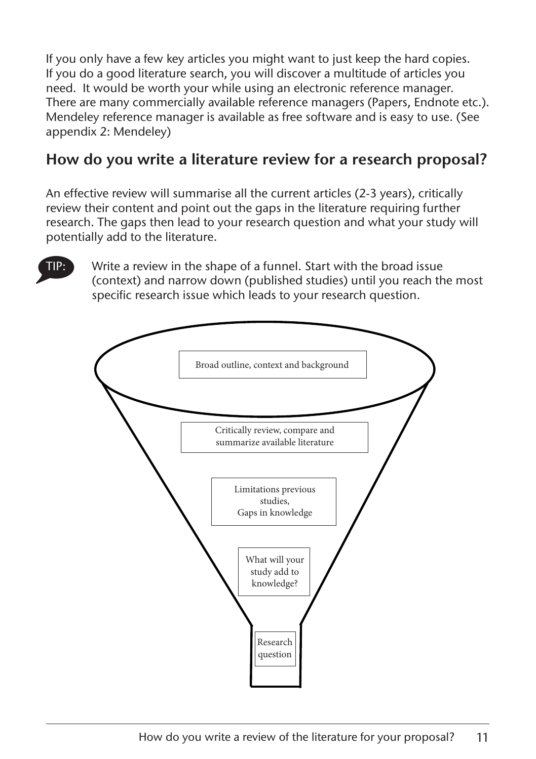If you only have a few key articles you might want to just keep the hard copies. If you do a good literature search, you will discover a multitude of articles you need. It would be worth your while using an electronic reference manager. There are many commercially available reference managers (Papers, Endnote etc.). Mendeley reference manager is available as free software and is easy to use. (See appendix 2: Mendeley)

# **How do you write a literature review for a research proposal?**

An effective review will summarise all the current articles (2-3 years), critically review their content and point out the gaps in the literature requiring further research. The gaps then lead to your research question and what your study will potentially add to the literature.

TIP: Write a review in the shape of a funnel. Start with the broad issue (context) and narrow down (published studies) until you reach the most specific research issue which leads to your research question.

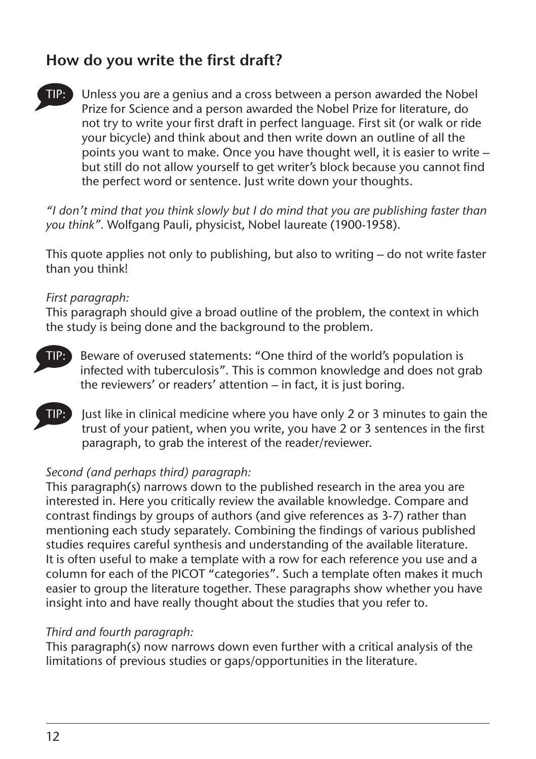# **How do you write the first draft?**



Unless you are a genius and a cross between a person awarded the Nobel Prize for Science and a person awarded the Nobel Prize for literature, do not try to write your first draft in perfect language. First sit (or walk or ride your bicycle) and think about and then write down an outline of all the points you want to make. Once you have thought well, it is easier to write – but still do not allow yourself to get writer's block because you cannot find the perfect word or sentence. Just write down your thoughts.

*"I don't mind that you think slowly but I do mind that you are publishing faster than you think".* Wolfgang Pauli, physicist, Nobel laureate (1900-1958).

This quote applies not only to publishing, but also to writing – do not write faster than you think!

## *First paragraph:*

This paragraph should give a broad outline of the problem, the context in which the study is being done and the background to the problem.

- Beware of overused statements: "One third of the world's population is infected with tuberculosis". This is common knowledge and does not grab the reviewers' or readers' attention – in fact, it is just boring.
- Tust like in clinical medicine where you have only 2 or 3 minutes to gain the trust of your patient, when you write, you have 2 or 3 sentences in the first paragraph, to grab the interest of the reader/reviewer.

## *Second (and perhaps third) paragraph:*

This paragraph(s) narrows down to the published research in the area you are interested in. Here you critically review the available knowledge. Compare and contrast findings by groups of authors (and give references as 3-7) rather than mentioning each study separately. Combining the findings of various published studies requires careful synthesis and understanding of the available literature. It is often useful to make a template with a row for each reference you use and a column for each of the PICOT "categories". Such a template often makes it much easier to group the literature together. These paragraphs show whether you have insight into and have really thought about the studies that you refer to.

### *Third and fourth paragraph:*

This paragraph(s) now narrows down even further with a critical analysis of the limitations of previous studies or gaps/opportunities in the literature.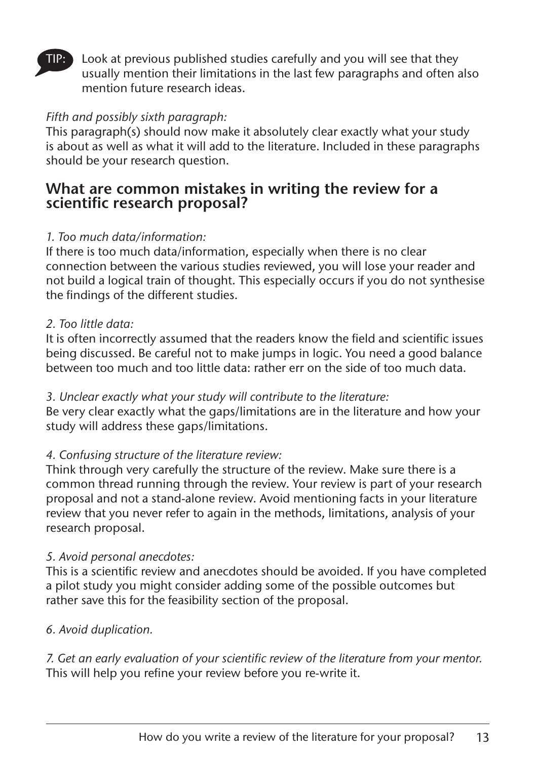

Look at previous published studies carefully and you will see that they usually mention their limitations in the last few paragraphs and often also mention future research ideas.

#### *Fifth and possibly sixth paragraph:*

This paragraph(s) should now make it absolutely clear exactly what your study is about as well as what it will add to the literature. Included in these paragraphs should be your research question.

# **What are common mistakes in writing the review for a scientific research proposal?**

#### *1. Too much data/information:*

If there is too much data/information, especially when there is no clear connection between the various studies reviewed, you will lose your reader and not build a logical train of thought. This especially occurs if you do not synthesise the findings of the different studies.

#### *2. Too little data:*

It is often incorrectly assumed that the readers know the field and scientific issues being discussed. Be careful not to make jumps in logic. You need a good balance between too much and too little data: rather err on the side of too much data.

#### *3. Unclear exactly what your study will contribute to the literature:*

Be very clear exactly what the gaps/limitations are in the literature and how your study will address these gaps/limitations.

### *4. Confusing structure of the literature review:*

Think through very carefully the structure of the review. Make sure there is a common thread running through the review. Your review is part of your research proposal and not a stand-alone review. Avoid mentioning facts in your literature review that you never refer to again in the methods, limitations, analysis of your research proposal.

#### *5. Avoid personal anecdotes:*

This is a scientific review and anecdotes should be avoided. If you have completed a pilot study you might consider adding some of the possible outcomes but rather save this for the feasibility section of the proposal.

### *6. Avoid duplication.*

*7. Get an early evaluation of your scientific review of the literature from your mentor.* This will help you refine your review before you re-write it.